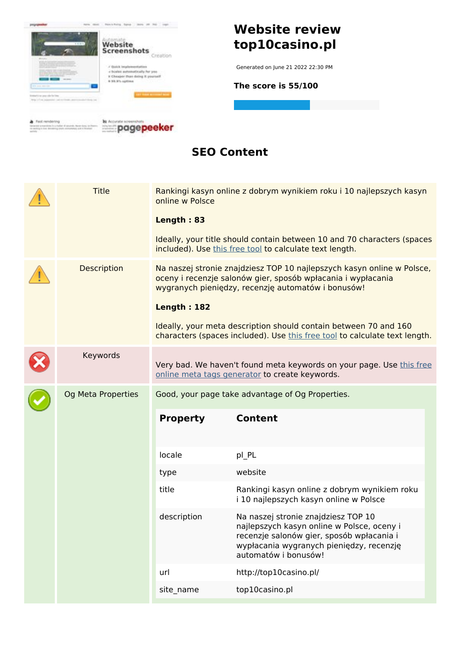

#### **SEO Content**

|  | <b>Title</b>       | online w Polsce<br>Length: 83 | Rankingi kasyn online z dobrym wynikiem roku i 10 najlepszych kasyn<br>Ideally, your title should contain between 10 and 70 characters (spaces<br>included). Use this free tool to calculate text length.                                                                                                                                      |
|--|--------------------|-------------------------------|------------------------------------------------------------------------------------------------------------------------------------------------------------------------------------------------------------------------------------------------------------------------------------------------------------------------------------------------|
|  | <b>Description</b> | <b>Length: 182</b>            | Na naszej stronie znajdziesz TOP 10 najlepszych kasyn online w Polsce,<br>oceny i recenzje salonów gier, sposób wpłacania i wypłacania<br>wygranych pieniędzy, recenzję automatów i bonusów!<br>Ideally, your meta description should contain between 70 and 160<br>characters (spaces included). Use this free tool to calculate text length. |
|  | Keywords           |                               | Very bad. We haven't found meta keywords on your page. Use this free<br>online meta tags generator to create keywords.                                                                                                                                                                                                                         |
|  | Og Meta Properties | <b>Property</b>               | Good, your page take advantage of Og Properties.<br><b>Content</b>                                                                                                                                                                                                                                                                             |
|  |                    | locale                        | pl_PL                                                                                                                                                                                                                                                                                                                                          |
|  |                    | type                          | website                                                                                                                                                                                                                                                                                                                                        |
|  |                    | title                         | Rankingi kasyn online z dobrym wynikiem roku<br>i 10 najlepszych kasyn online w Polsce                                                                                                                                                                                                                                                         |
|  |                    | description                   | Na naszej stronie znajdziesz TOP 10<br>najlepszych kasyn online w Polsce, oceny i<br>recenzje salonów gier, sposób wpłacania i<br>wypłacania wygranych pieniędzy, recenzję<br>automatów i bonusów!                                                                                                                                             |
|  |                    | url                           | http://top10casino.pl/                                                                                                                                                                                                                                                                                                                         |
|  |                    | site_name                     | top10casino.pl                                                                                                                                                                                                                                                                                                                                 |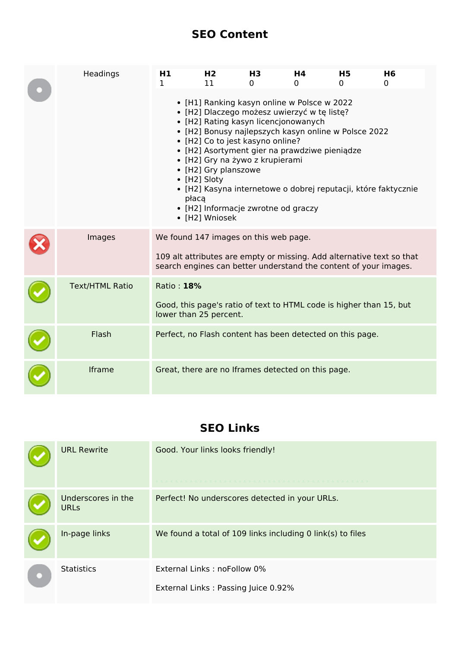### **SEO Content**

| Headings               | H1<br>$\mathbf{1}$                    | H <sub>2</sub><br>11                                                                                                          | <b>H3</b><br>$\Omega$ | H4<br>0                                                                                                                                                                                                                                                                            | <b>H5</b><br>0 | H <sub>6</sub><br>0                                                                                                                       |
|------------------------|---------------------------------------|-------------------------------------------------------------------------------------------------------------------------------|-----------------------|------------------------------------------------------------------------------------------------------------------------------------------------------------------------------------------------------------------------------------------------------------------------------------|----------------|-------------------------------------------------------------------------------------------------------------------------------------------|
|                        | płacą                                 | • [H2] Co to jest kasyno online?<br>• [H2] Gry na żywo z krupierami<br>• [H2] Gry planszowe<br>• [H2] Sloty<br>• [H2] Wniosek |                       | • [H1] Ranking kasyn online w Polsce w 2022<br>· [H2] Dlaczego możesz uwierzyć w tę listę?<br>• [H2] Rating kasyn licencjonowanych<br>• [H2] Bonusy najlepszych kasyn online w Polsce 2022<br>• [H2] Asortyment gier na prawdziwe pieniądze<br>• [H2] Informacje zwrotne od graczy |                | · [H2] Kasyna internetowe o dobrej reputacji, które faktycznie                                                                            |
| Images                 | We found 147 images on this web page. |                                                                                                                               |                       |                                                                                                                                                                                                                                                                                    |                | 109 alt attributes are empty or missing. Add alternative text so that<br>search engines can better understand the content of your images. |
| <b>Text/HTML Ratio</b> | Ratio: 18%<br>lower than 25 percent.  |                                                                                                                               |                       |                                                                                                                                                                                                                                                                                    |                | Good, this page's ratio of text to HTML code is higher than 15, but                                                                       |
| Flash                  |                                       |                                                                                                                               |                       | Perfect, no Flash content has been detected on this page.                                                                                                                                                                                                                          |                |                                                                                                                                           |
| Iframe                 |                                       |                                                                                                                               |                       | Great, there are no Iframes detected on this page.                                                                                                                                                                                                                                 |                |                                                                                                                                           |

## **SEO Links**

| <b>URL Rewrite</b>                | Good. Your links looks friendly!                                   |
|-----------------------------------|--------------------------------------------------------------------|
| Underscores in the<br><b>URLs</b> | Perfect! No underscores detected in your URLs.                     |
| In-page links                     | We found a total of 109 links including 0 link(s) to files         |
| <b>Statistics</b>                 | External Links: noFollow 0%<br>External Links: Passing Juice 0.92% |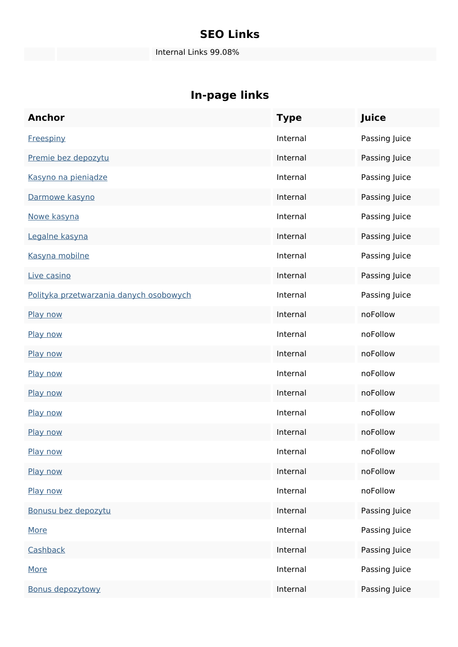### **SEO Links**

Internal Links 99.08%

| <b>Anchor</b>                           | <b>Type</b> | Juice         |
|-----------------------------------------|-------------|---------------|
| <b>Freespiny</b>                        | Internal    | Passing Juice |
| Premie bez depozytu                     | Internal    | Passing Juice |
| Kasyno na pieniądze                     | Internal    | Passing Juice |
| Darmowe kasyno                          | Internal    | Passing Juice |
| Nowe kasyna                             | Internal    | Passing Juice |
| Legalne kasyna                          | Internal    | Passing Juice |
| Kasyna mobilne                          | Internal    | Passing Juice |
| Live casino                             | Internal    | Passing Juice |
| Polityka przetwarzania danych osobowych | Internal    | Passing Juice |
| Play now                                | Internal    | noFollow      |
| Play now                                | Internal    | noFollow      |
| Play now                                | Internal    | noFollow      |
| Play now                                | Internal    | noFollow      |
| Play now                                | Internal    | noFollow      |
| Play now                                | Internal    | noFollow      |
| Play now                                | Internal    | noFollow      |
| Play now                                | Internal    | noFollow      |
| Play now                                | Internal    | noFollow      |
| Play now                                | Internal    | noFollow      |
| Bonusu bez depozytu                     | Internal    | Passing Juice |
| More                                    | Internal    | Passing Juice |
| Cashback                                | Internal    | Passing Juice |
| <b>More</b>                             | Internal    | Passing Juice |
| <b>Bonus depozytowy</b>                 | Internal    | Passing Juice |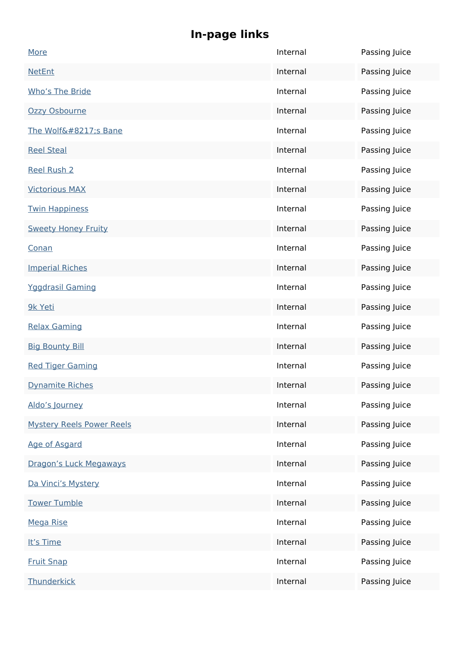| More                             | Internal | Passing Juice |
|----------------------------------|----------|---------------|
| <b>NetEnt</b>                    | Internal | Passing Juice |
| Who's The Bride                  | Internal | Passing Juice |
| Ozzy Osbourne                    | Internal | Passing Juice |
| The Wolf's Bane                  | Internal | Passing Juice |
| <b>Reel Steal</b>                | Internal | Passing Juice |
| <b>Reel Rush 2</b>               | Internal | Passing Juice |
| <b>Victorious MAX</b>            | Internal | Passing Juice |
| <b>Twin Happiness</b>            | Internal | Passing Juice |
| <b>Sweety Honey Fruity</b>       | Internal | Passing Juice |
| Conan                            | Internal | Passing Juice |
| <b>Imperial Riches</b>           | Internal | Passing Juice |
| <b>Yggdrasil Gaming</b>          | Internal | Passing Juice |
| 9k Yeti                          | Internal | Passing Juice |
| <b>Relax Gaming</b>              | Internal | Passing Juice |
| <b>Big Bounty Bill</b>           | Internal | Passing Juice |
| <b>Red Tiger Gaming</b>          | Internal | Passing Juice |
| <b>Dynamite Riches</b>           | Internal | Passing Juice |
| Aldo's Journey                   | Internal | Passing Juice |
| <b>Mystery Reels Power Reels</b> | Internal | Passing Juice |
| Age of Asgard                    | Internal | Passing Juice |
| Dragon's Luck Megaways           | Internal | Passing Juice |
| Da Vinci's Mystery               | Internal | Passing Juice |
| <b>Tower Tumble</b>              | Internal | Passing Juice |
| <b>Mega Rise</b>                 | Internal | Passing Juice |
| It's Time                        | Internal | Passing Juice |
| <b>Fruit Snap</b>                | Internal | Passing Juice |
| Thunderkick                      | Internal | Passing Juice |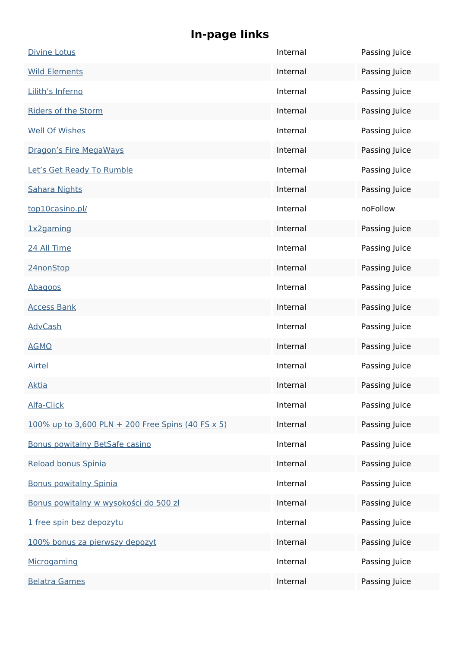| <b>Divine Lotus</b>                               | Internal | Passing Juice |
|---------------------------------------------------|----------|---------------|
| <b>Wild Elements</b>                              | Internal | Passing Juice |
| Lilith's Inferno                                  | Internal | Passing Juice |
| <b>Riders of the Storm</b>                        | Internal | Passing Juice |
| <b>Well Of Wishes</b>                             | Internal | Passing Juice |
| Dragon's Fire MegaWays                            | Internal | Passing Juice |
| Let's Get Ready To Rumble                         | Internal | Passing Juice |
| <b>Sahara Nights</b>                              | Internal | Passing Juice |
| top10casino.pl/                                   | Internal | noFollow      |
| 1x2gaming                                         | Internal | Passing Juice |
| 24 All Time                                       | Internal | Passing Juice |
| 24nonStop                                         | Internal | Passing Juice |
| Abagoos                                           | Internal | Passing Juice |
| <b>Access Bank</b>                                | Internal | Passing Juice |
| <b>AdvCash</b>                                    | Internal | Passing Juice |
| <b>AGMO</b>                                       | Internal | Passing Juice |
| <b>Airtel</b>                                     | Internal | Passing Juice |
| <b>Aktia</b>                                      | Internal | Passing Juice |
| Alfa-Click                                        | Internal | Passing Juice |
| 100% up to 3,600 PLN + 200 Free Spins (40 FS x 5) | Internal | Passing Juice |
| Bonus powitalny BetSafe casino                    | Internal | Passing Juice |
| Reload bonus Spinia                               | Internal | Passing Juice |
| <b>Bonus powitalny Spinia</b>                     | Internal | Passing Juice |
| Bonus powitalny w wysokości do 500 zł             | Internal | Passing Juice |
| 1 free spin bez depozytu                          | Internal | Passing Juice |
| 100% bonus za pierwszy depozyt                    | Internal | Passing Juice |
| Microgaming                                       | Internal | Passing Juice |
| <b>Belatra Games</b>                              | Internal | Passing Juice |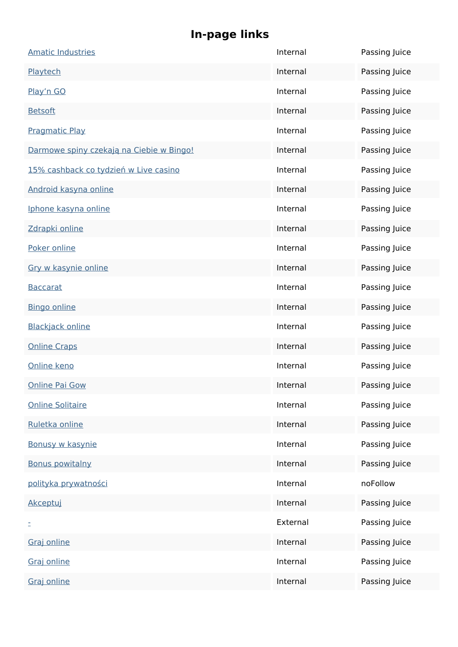| <b>Amatic Industries</b>                 | Internal | Passing Juice |
|------------------------------------------|----------|---------------|
| Playtech                                 | Internal | Passing Juice |
| Play'n GO                                | Internal | Passing Juice |
| <b>Betsoft</b>                           | Internal | Passing Juice |
| <b>Pragmatic Play</b>                    | Internal | Passing Juice |
| Darmowe spiny czekają na Ciebie w Bingo! | Internal | Passing Juice |
| 15% cashback co tydzień w Live casino    | Internal | Passing Juice |
| Android kasyna online                    | Internal | Passing Juice |
| Iphone kasyna online                     | Internal | Passing Juice |
| Zdrapki online                           | Internal | Passing Juice |
| Poker online                             | Internal | Passing Juice |
| Gry w kasynie online                     | Internal | Passing Juice |
| <b>Baccarat</b>                          | Internal | Passing Juice |
| <b>Bingo online</b>                      | Internal | Passing Juice |
| <b>Blackjack online</b>                  | Internal | Passing Juice |
| <b>Online Craps</b>                      | Internal | Passing Juice |
| Online keno                              | Internal | Passing Juice |
| <b>Online Pai Gow</b>                    | Internal | Passing Juice |
| <b>Online Solitaire</b>                  | Internal | Passing Juice |
| Ruletka online                           | Internal | Passing Juice |
| Bonusy w kasynie                         | Internal | Passing Juice |
| <b>Bonus powitalny</b>                   | Internal | Passing Juice |
| polityka prywatności                     | Internal | noFollow      |
| Akceptuj                                 | Internal | Passing Juice |
| Ξ                                        | External | Passing Juice |
| Graj online                              | Internal | Passing Juice |
| Graj online                              | Internal | Passing Juice |
| Graj online                              | Internal | Passing Juice |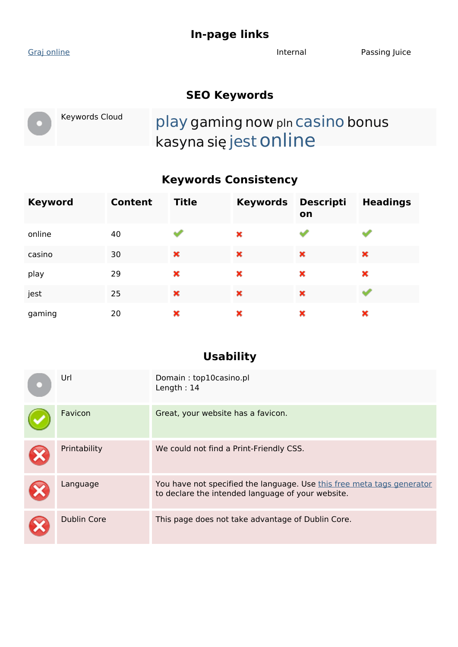[Graj online](http://top10casino.pl/go/Wazamba) and The Internal Passing Juice

#### **SEO Keywords**

Keywords Cloud play gaming now pln casino bonus kasyna się jestonline

### **Keywords Consistency**

| <b>Keyword</b> | Content | <b>Title</b> | <b>Keywords</b> | <b>Descripti</b><br>on | <b>Headings</b> |
|----------------|---------|--------------|-----------------|------------------------|-----------------|
| online         | 40      |              | ×               |                        |                 |
| casino         | 30      | ×            | ×               | ×                      | ×               |
| play           | 29      | ×            | ×               | ×                      | ×               |
| jest           | 25      | ×            | ×               | ×                      |                 |
| gaming         | 20      | ×            | ×               | ×                      | ×               |

#### **Usability**

| Url                | Domain: top10casino.pl<br>Length: $14$                                                                                      |
|--------------------|-----------------------------------------------------------------------------------------------------------------------------|
| Favicon            | Great, your website has a favicon.                                                                                          |
| Printability       | We could not find a Print-Friendly CSS.                                                                                     |
| Language           | You have not specified the language. Use this free meta tags generator<br>to declare the intended language of your website. |
| <b>Dublin Core</b> | This page does not take advantage of Dublin Core.                                                                           |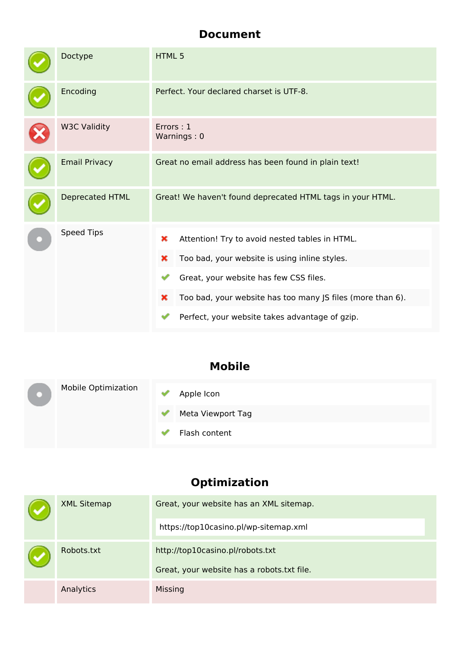#### **Document**

| Doctype              | HTML <sub>5</sub>                                                                                                                                                                                                                                                        |  |  |
|----------------------|--------------------------------------------------------------------------------------------------------------------------------------------------------------------------------------------------------------------------------------------------------------------------|--|--|
| Encoding             | Perfect. Your declared charset is UTF-8.                                                                                                                                                                                                                                 |  |  |
| <b>W3C Validity</b>  | Errors: 1<br>Warnings: 0                                                                                                                                                                                                                                                 |  |  |
| <b>Email Privacy</b> | Great no email address has been found in plain text!                                                                                                                                                                                                                     |  |  |
| Deprecated HTML      | Great! We haven't found deprecated HTML tags in your HTML.                                                                                                                                                                                                               |  |  |
| Speed Tips           | ×<br>Attention! Try to avoid nested tables in HTML.<br>Too bad, your website is using inline styles.<br>×<br>Great, your website has few CSS files.<br>Too bad, your website has too many JS files (more than 6).<br>×<br>Perfect, your website takes advantage of gzip. |  |  |

## **Mobile**

|  | <b>Mobile Optimization</b> | Apple Icon        |
|--|----------------------------|-------------------|
|  |                            | Meta Viewport Tag |
|  |                            | Flash content     |

## **Optimization**

| <b>XML Sitemap</b> | Great, your website has an XML sitemap.                                        |
|--------------------|--------------------------------------------------------------------------------|
|                    | https://top10casino.pl/wp-sitemap.xml                                          |
| Robots.txt         | http://top10casino.pl/robots.txt<br>Great, your website has a robots.txt file. |
| Analytics          | <b>Missing</b>                                                                 |